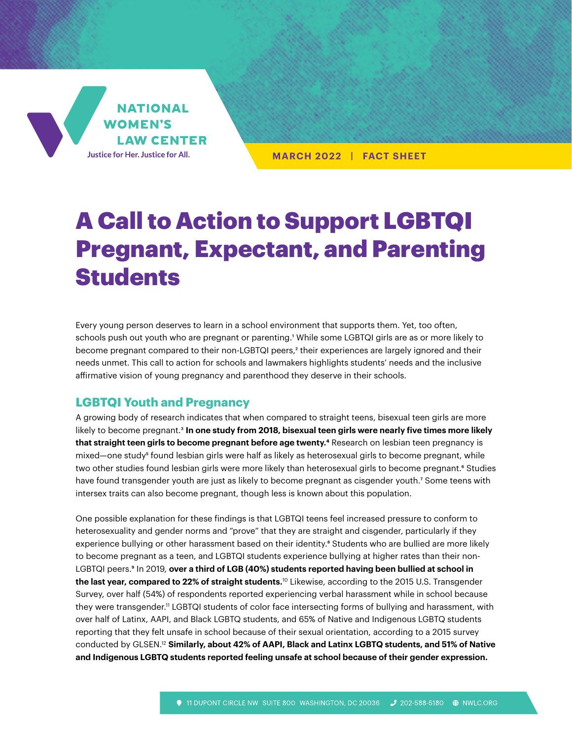

**MARCH 2022 | FACT SHEET**

# A Call to Action to Support LGBTQI Pregnant, Expectant, and Parenting **Students**

Every young person deserves to learn in a school environment that supports them. Yet, too often, schools push out youth who are pregnant or parenting.<sup>1</sup> While some LGBTQI girls are as or more likely to become pregnant compared to their non-LGBTQI peers,<sup>2</sup> their experiences are largely ignored and their needs unmet. This call to action for schools and lawmakers highlights students' needs and the inclusive affirmative vision of young pregnancy and parenthood they deserve in their schools.

## **LGBTQI Youth and Pregnancy**

A growing body of research indicates that when compared to straight teens, bisexual teen girls are more likely to become pregnant.3 **In one study from 2018, bisexual teen girls were nearly five times more likely that straight teen girls to become pregnant before age twenty.4** Research on lesbian teen pregnancy is mixed—one study<sup>5</sup> found lesbian girls were half as likely as heterosexual girls to become pregnant, while two other studies found lesbian girls were more likely than heterosexual girls to become pregnant.<sup>6</sup> Studies have found transgender youth are just as likely to become pregnant as cisgender youth.<sup>7</sup> Some teens with intersex traits can also become pregnant, though less is known about this population.

One possible explanation for these findings is that LGBTQI teens feel increased pressure to conform to heterosexuality and gender norms and "prove" that they are straight and cisgender, particularly if they experience bullying or other harassment based on their identity.<sup>8</sup> Students who are bullied are more likely to become pregnant as a teen, and LGBTQI students experience bullying at higher rates than their non-LGBTQI peers.<sup>9</sup> In 2019, over a third of LGB (40%) students reported having been bullied at school in **the last year, compared to 22% of straight students.**10 Likewise, according to the 2015 U.S. Transgender Survey, over half (54%) of respondents reported experiencing verbal harassment while in school because they were transgender.11 LGBTQI students of color face intersecting forms of bullying and harassment, with over half of Latinx, AAPI, and Black LGBTQ students, and 65% of Native and Indigenous LGBTQ students reporting that they felt unsafe in school because of their sexual orientation, according to a 2015 survey conducted by GLSEN.12 **Similarly, about 42% of AAPI, Black and Latinx LGBTQ students, and 51% of Native and Indigenous LGBTQ students reported feeling unsafe at school because of their gender expression.**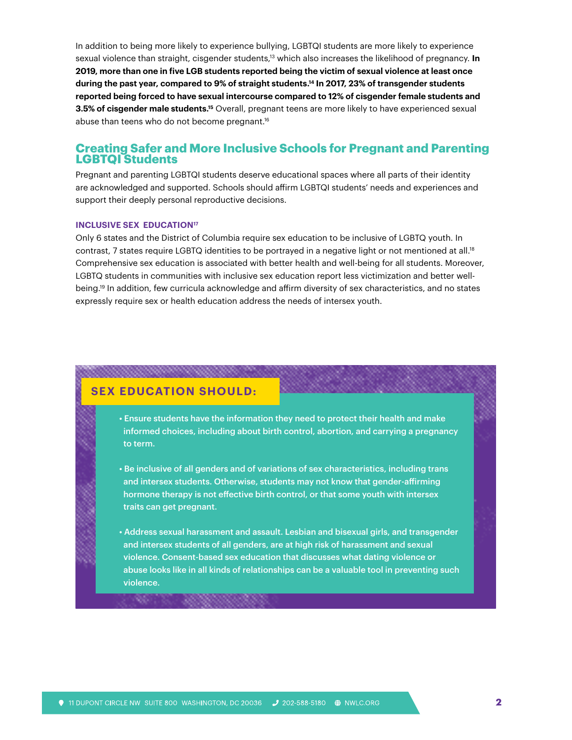In addition to being more likely to experience bullying, LGBTQI students are more likely to experience sexual violence than straight, cisgender students,13 which also increases the likelihood of pregnancy. **In 2019, more than one in five LGB students reported being the victim of sexual violence at least once during the past year, compared to 9% of straight students.14 In 2017, 23% of transgender students reported being forced to have sexual intercourse compared to 12% of cisgender female students and 3.5% of cisgender male students.15** Overall, pregnant teens are more likely to have experienced sexual abuse than teens who do not become pregnant.16

## **Creating Safer and More Inclusive Schools for Pregnant and Parenting LGBTQI Students**

Pregnant and parenting LGBTQI students deserve educational spaces where all parts of their identity are acknowledged and supported. Schools should affirm LGBTQI students' needs and experiences and support their deeply personal reproductive decisions.

### **INCLUSIVE SEX EDUCATION<sup>17</sup>**

Only 6 states and the District of Columbia require sex education to be inclusive of LGBTQ youth. In contrast, 7 states require LGBTQ identities to be portrayed in a negative light or not mentioned at all.<sup>18</sup> Comprehensive sex education is associated with better health and well-being for all students. Moreover, LGBTQ students in communities with inclusive sex education report less victimization and better wellbeing.19 In addition, few curricula acknowledge and affirm diversity of sex characteristics, and no states expressly require sex or health education address the needs of intersex youth.

## **SEX EDUCATION SHOULD:**

९८

,,,,,,,,,,,,,,,,,,,,,,,

- Ensure students have the information they need to protect their health and make informed choices, including about birth control, abortion, and carrying a pregnancy to term.
- Be inclusive of all genders and of variations of sex characteristics, including trans and intersex students. Otherwise, students may not know that gender-affirming hormone therapy is not effective birth control, or that some youth with intersex traits can get pregnant.
- Address sexual harassment and assault. Lesbian and bisexual girls, and transgender and intersex students of all genders, are at high risk of harassment and sexual violence. Consent-based sex education that discusses what dating violence or abuse looks like in all kinds of relationships can be a valuable tool in preventing such violence.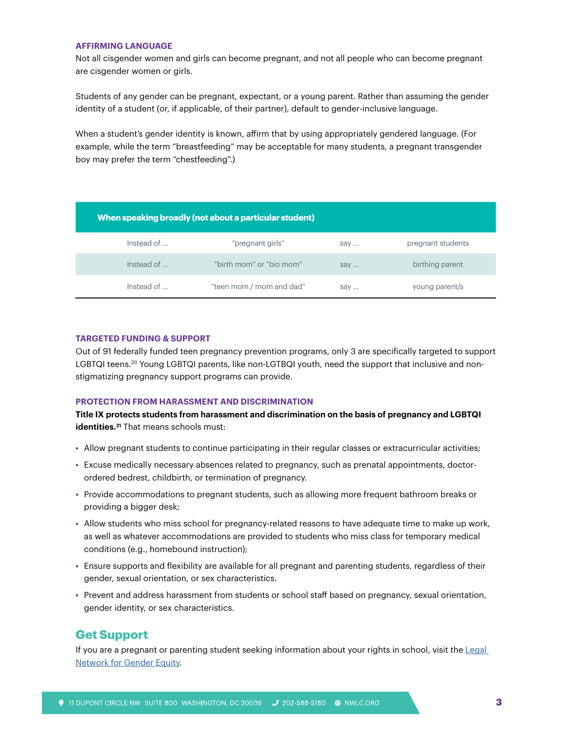### **AFFIRMING LANGUAGE**

Not all cisgender women and girls can become pregnant, and not all people who can become pregnant are cisgender women or girls.

Students of any gender can be pregnant, expectant, or a young parent. Rather than assuming the gender identity of a student (or, if applicable, of their partner), default to gender-inclusive language.

When a student's gender identity is known, affirm that by using appropriately gendered language. (For example, while the term "breastfeeding" may be acceptable for many students, a pregnant transgender boy may prefer the term "chestfeeding".)

| When speaking broadly (not about a particular student) |                          |     |                   |
|--------------------------------------------------------|--------------------------|-----|-------------------|
| Instead of                                             | "pregnant girls"         | say | pregnant students |
| Instead of                                             | "birth mom" or "bio mom" | say | birthing parent   |
| Instead of                                             | "teen mom / mom and dad" | say | young parent/s    |

#### **TARGETED FUNDING & SUPPORT**

Out of 91 federally funded teen pregnancy prevention programs, only 3 are specifically targeted to support LGBTQI teens.<sup>20</sup> Young LGBTQI parents, like non-LGTBQI youth, need the support that inclusive and nonstigmatizing pregnancy support programs can provide.

#### **PROTECTION FROM HARASSMENT AND DISCRIMINATION**

**Title IX protects students from harassment and discrimination on the basis of pregnancy and LGBTQI identities.**<sup>21</sup> That means schools must:

- **•** Allow pregnant students to continue participating in their regular classes or extracurricular activities;
- **•** Excuse medically necessary absences related to pregnancy, such as prenatal appointments, doctorordered bedrest, childbirth, or termination of pregnancy.
- **•** Provide accommodations to pregnant students, such as allowing more frequent bathroom breaks or providing a bigger desk;
- **•** Allow students who miss school for pregnancy-related reasons to have adequate time to make up work, as well as whatever accommodations are provided to students who miss class for temporary medical conditions (e.g., homebound instruction);
- **•** Ensure supports and flexibility are available for all pregnant and parenting students, regardless of their gender, sexual orientation, or sex characteristics.
- **•** Prevent and address harassment from students or school staff based on pregnancy, sexual orientation, gender identity, or sex characteristics.

## **Get Support**

If you are a pregnant or parenting student seeking information about your rights in school, visit the Legal [Network for Gender Equity](https://nwlc.org/about/nwlc-legal-network/).